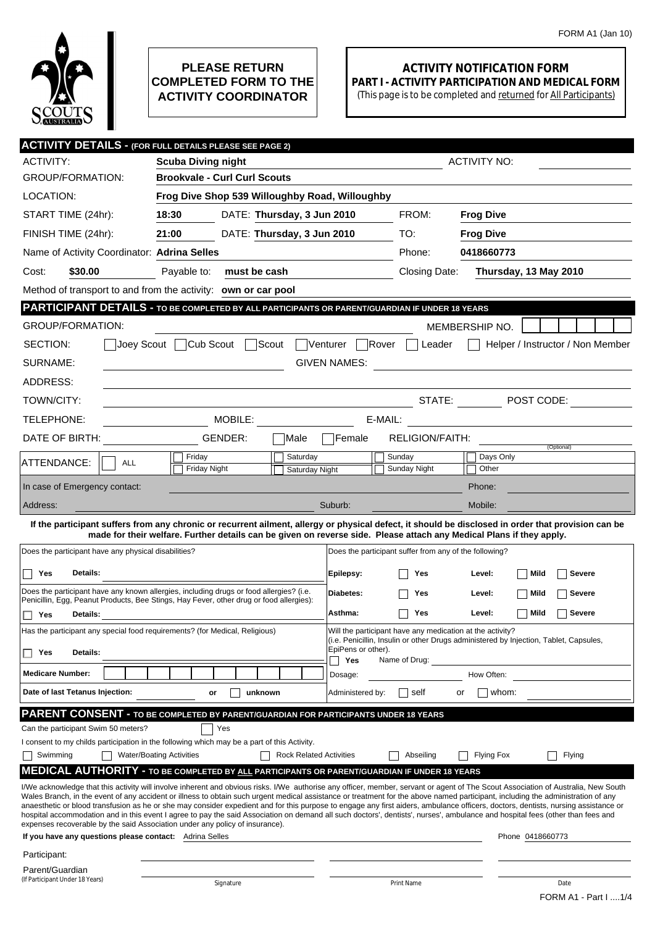

## **PLEASE RETURN COMPLETED FORM TO THE ACTIVITY COORDINATOR**

## **ACTIVITY NOTIFICATION FORM PART I - ACTIVITY PARTICIPATION AND MEDICAL FORM**

(This page is to be completed and returned for All Participants)

|                                                         | <b>ACTIVITY DETAILS - (FOR FULL DETAILS PLEASE SEE PAGE 2)</b>                                                                                                                                                                                                                                                                                                         |                                |                           |                                                        |                     |                                  |  |
|---------------------------------------------------------|------------------------------------------------------------------------------------------------------------------------------------------------------------------------------------------------------------------------------------------------------------------------------------------------------------------------------------------------------------------------|--------------------------------|---------------------------|--------------------------------------------------------|---------------------|----------------------------------|--|
| <b>ACTIVITY:</b>                                        | <b>Scuba Diving night</b>                                                                                                                                                                                                                                                                                                                                              |                                |                           |                                                        | <b>ACTIVITY NO:</b> |                                  |  |
| <b>GROUP/FORMATION:</b>                                 | <b>Brookvale - Curl Curl Scouts</b>                                                                                                                                                                                                                                                                                                                                    |                                |                           |                                                        |                     |                                  |  |
| LOCATION:                                               | Frog Dive Shop 539 Willoughby Road, Willoughby                                                                                                                                                                                                                                                                                                                         |                                |                           |                                                        |                     |                                  |  |
| START TIME (24hr):                                      | 18:30<br>DATE: Thursday, 3 Jun 2010                                                                                                                                                                                                                                                                                                                                    |                                |                           | FROM:                                                  | <b>Frog Dive</b>    |                                  |  |
| FINISH TIME (24hr):                                     | DATE: Thursday, 3 Jun 2010<br>21:00                                                                                                                                                                                                                                                                                                                                    |                                |                           | TO:                                                    | <b>Frog Dive</b>    |                                  |  |
| Name of Activity Coordinator: Adrina Selles             |                                                                                                                                                                                                                                                                                                                                                                        |                                |                           | Phone:                                                 | 0418660773          |                                  |  |
| \$30.00<br>Cost:                                        | Payable to:<br>must be cash                                                                                                                                                                                                                                                                                                                                            |                                |                           | Closing Date:                                          |                     | Thursday, 13 May 2010            |  |
|                                                         | Method of transport to and from the activity: own or car pool                                                                                                                                                                                                                                                                                                          |                                |                           |                                                        |                     |                                  |  |
|                                                         | PARTICIPANT DETAILS - TO BE COMPLETED BY ALL PARTICIPANTS OR PARENT/GUARDIAN IF UNDER 18 YEARS                                                                                                                                                                                                                                                                         |                                |                           |                                                        |                     |                                  |  |
| <b>GROUP/FORMATION:</b>                                 |                                                                                                                                                                                                                                                                                                                                                                        |                                |                           |                                                        | MEMBERSHIP NO.      |                                  |  |
| SECTION:                                                | Joey Scout Cub Scout Scout Venturer Rover                                                                                                                                                                                                                                                                                                                              |                                |                           | Leader                                                 |                     | Helper / Instructor / Non Member |  |
| SURNAME:                                                |                                                                                                                                                                                                                                                                                                                                                                        |                                | <b>GIVEN NAMES:</b>       |                                                        |                     |                                  |  |
| ADDRESS:                                                |                                                                                                                                                                                                                                                                                                                                                                        |                                |                           |                                                        |                     |                                  |  |
| TOWN/CITY:                                              |                                                                                                                                                                                                                                                                                                                                                                        |                                |                           | STATE:                                                 |                     | $\blacksquare$ POST CODE:        |  |
| TELEPHONE:                                              | MOBILE:                                                                                                                                                                                                                                                                                                                                                                |                                |                           |                                                        |                     |                                  |  |
| DATE OF BIRTH:                                          | GENDER:                                                                                                                                                                                                                                                                                                                                                                | Male                           | Female                    | <b>RELIGION/FAITH:</b>                                 |                     |                                  |  |
| ATTENDANCE:<br><b>ALL</b>                               | Friday                                                                                                                                                                                                                                                                                                                                                                 | Saturday                       |                           | Sunday                                                 | Days Only           | (Optional)                       |  |
|                                                         | Friday Night                                                                                                                                                                                                                                                                                                                                                           | Saturday Night                 |                           | Sunday Night                                           | Other               |                                  |  |
| In case of Emergency contact:                           |                                                                                                                                                                                                                                                                                                                                                                        |                                |                           |                                                        | Phone:              |                                  |  |
| Address:                                                |                                                                                                                                                                                                                                                                                                                                                                        |                                | Suburb:                   |                                                        | Mobile:             |                                  |  |
|                                                         | If the participant suffers from any chronic or recurrent ailment, allergy or physical defect, it should be disclosed in order that provision can be<br>made for their welfare. Further details can be given on reverse side. Please attach any Medical Plans if they apply.                                                                                            |                                |                           |                                                        |                     |                                  |  |
| Does the participant have any physical disabilities?    |                                                                                                                                                                                                                                                                                                                                                                        |                                |                           | Does the participant suffer from any of the following? |                     |                                  |  |
| Details:<br>Yes                                         |                                                                                                                                                                                                                                                                                                                                                                        |                                | Epilepsy:                 | Yes                                                    | Level:              | Mild<br><b>Severe</b>            |  |
|                                                         | Does the participant have any known allergies, including drugs or food allergies? (i.e.                                                                                                                                                                                                                                                                                |                                |                           |                                                        |                     |                                  |  |
|                                                         | Penicillin, Egg, Peanut Products, Bee Stings, Hay Fever, other drug or food allergies):                                                                                                                                                                                                                                                                                |                                | Diabetes:                 | Yes                                                    | Level:              | ∣ ∣Mild<br><b>Severe</b>         |  |
| $\Box$ Yes<br>Details:                                  |                                                                                                                                                                                                                                                                                                                                                                        |                                | Asthma:                   | Yes                                                    | Level:              | ∣ ∣Mild<br><b>Severe</b>         |  |
|                                                         | Has the participant any special food requirements? (for Medical, Religious)<br>Will the participant have any medication at the activity?<br>(i.e. Penicillin, Insulin or other Drugs administered by Injection, Tablet, Capsules,                                                                                                                                      |                                |                           |                                                        |                     |                                  |  |
| $\Box$ Yes<br>Details:                                  |                                                                                                                                                                                                                                                                                                                                                                        |                                | EpiPens or other).<br>Yes | Name of Drug:                                          |                     |                                  |  |
| <b>Medicare Number:</b>                                 |                                                                                                                                                                                                                                                                                                                                                                        |                                | Dosage:                   |                                                        | How Often:          |                                  |  |
| Date of last Tetanus Injection:                         | unknown<br>or                                                                                                                                                                                                                                                                                                                                                          |                                | Administered by:          | self                                                   | or                  | whom:                            |  |
|                                                         | <b>PARENT CONSENT - TO BE COMPLETED BY PARENT/GUARDIAN FOR PARTICIPANTS UNDER 18 YEARS</b>                                                                                                                                                                                                                                                                             |                                |                           |                                                        |                     |                                  |  |
| Can the participant Swim 50 meters?                     | Yes                                                                                                                                                                                                                                                                                                                                                                    |                                |                           |                                                        |                     |                                  |  |
| Swimming                                                | I consent to my childs participation in the following which may be a part of this Activity.<br><b>Water/Boating Activities</b>                                                                                                                                                                                                                                         | <b>Rock Related Activities</b> |                           | Abseiling                                              | <b>Flying Fox</b>   | Flying                           |  |
|                                                         | <b>MEDICAL AUTHORITY - TO BE COMPLETED BY ALL PARTICIPANTS OR PARENT/GUARDIAN IF UNDER 18 YEARS</b>                                                                                                                                                                                                                                                                    |                                |                           |                                                        |                     |                                  |  |
|                                                         | I/We acknowledge that this activity will involve inherent and obvious risks. I/We authorise any officer, member, servant or agent of The Scout Association of Australia, New South                                                                                                                                                                                     |                                |                           |                                                        |                     |                                  |  |
|                                                         | Wales Branch, in the event of any accident or illness to obtain such urgent medical assistance or treatment for the above named participant, including the administration of any<br>anaesthetic or blood transfusion as he or she may consider expedient and for this purpose to engage any first aiders, ambulance officers, doctors, dentists, nursing assistance or |                                |                           |                                                        |                     |                                  |  |
|                                                         | hospital accommodation and in this event I agree to pay the said Association on demand all such doctors', dentists', nurses', ambulance and hospital fees (other than fees and<br>expenses recoverable by the said Association under any policy of insurance).                                                                                                         |                                |                           |                                                        |                     |                                  |  |
| If you have any questions please contact: Adrina Selles |                                                                                                                                                                                                                                                                                                                                                                        |                                |                           |                                                        |                     | Phone 0418660773                 |  |
| Participant:                                            |                                                                                                                                                                                                                                                                                                                                                                        |                                |                           |                                                        |                     |                                  |  |
| Parent/Guardian<br>(If Participant Under 18 Years)      | Signature                                                                                                                                                                                                                                                                                                                                                              |                                |                           | Print Name                                             |                     | Date                             |  |
|                                                         |                                                                                                                                                                                                                                                                                                                                                                        |                                |                           |                                                        |                     | FORM A1 - Part I  1/4            |  |